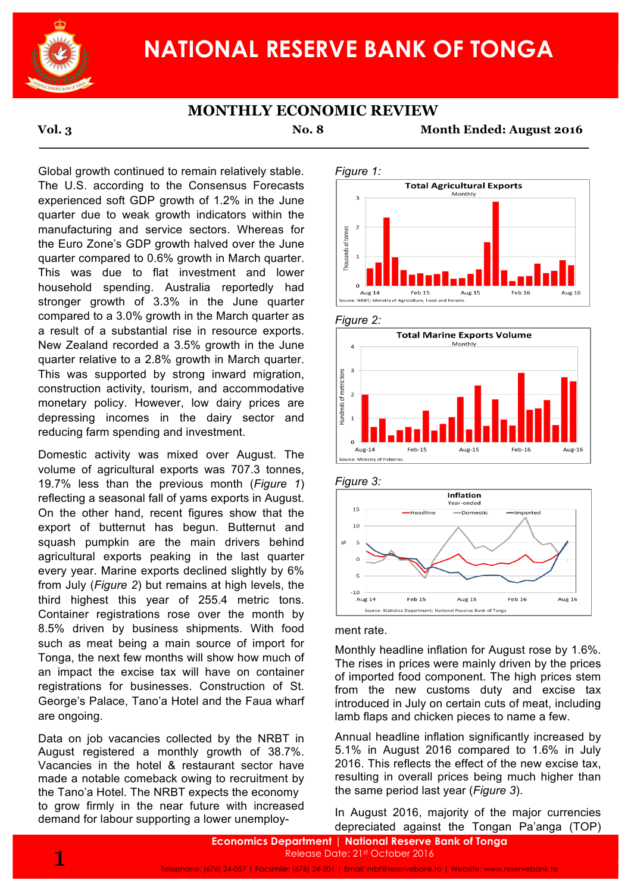

# **NATIONAL RESERVE BANK OF TONGA**

## **MONTHLY ECONOMIC REVIEW**

**Vol. 3 No. 8 Month Ended: August 2016**

Global growth continued to remain relatively stable. The U.S. according to the Consensus Forecasts experienced soft GDP growth of 1.2% in the June quarter due to weak growth indicators within the manufacturing and service sectors. Whereas for the Euro Zone's GDP growth halved over the June quarter compared to 0.6% growth in March quarter. This was due to flat investment and lower household spending. Australia reportedly had stronger growth of 3.3% in the June quarter compared to a 3.0% growth in the March quarter as a result of a substantial rise in resource exports. New Zealand recorded a 3.5% growth in the June quarter relative to a 2.8% growth in March quarter. This was supported by strong inward migration, construction activity, tourism, and accommodative monetary policy. However, low dairy prices are depressing incomes in the dairy sector and reducing farm spending and investment.

Domestic activity was mixed over August. The volume of agricultural exports was 707.3 tonnes, 19.7% less than the previous month (*Figure 1*) reflecting a seasonal fall of yams exports in August. On the other hand, recent figures show that the export of butternut has begun. Butternut and squash pumpkin are the main drivers behind agricultural exports peaking in the last quarter every year. Marine exports declined slightly by 6% from July (*Figure 2*) but remains at high levels, the third highest this year of 255.4 metric tons. Container registrations rose over the month by 8.5% driven by business shipments. With food such as meat being a main source of import for Tonga, the next few months will show how much of an impact the excise tax will have on container registrations for businesses. Construction of St. George's Palace, Tano'a Hotel and the Faua wharf are ongoing.

Data on job vacancies collected by the NRBT in August registered a monthly growth of 38.7%. Vacancies in the hotel & restaurant sector have made a notable comeback owing to recruitment by the Tano'a Hotel. The NRBT expects the economy to grow firmly in the near future with increased demand for labour supporting a lower unemploy-











### ment rate.

Monthly headline inflation for August rose by 1.6%. The rises in prices were mainly driven by the prices of imported food component. The high prices stem from the new customs duty and excise tax introduced in July on certain cuts of meat, including lamb flaps and chicken pieces to name a few.

Annual headline inflation significantly increased by 5.1% in August 2016 compared to 1.6% in July 2016. This reflects the effect of the new excise tax, resulting in overall prices being much higher than the same period last year (*Figure 3*).

In August 2016, majority of the major currencies depreciated against the Tongan Pa'anga (TOP)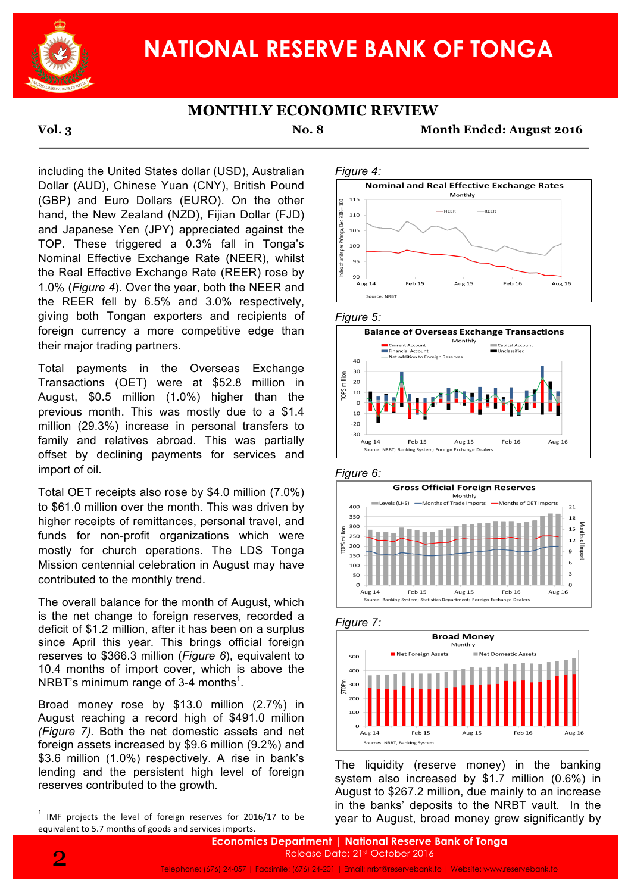

# **NATIONAL RESERVE BANK OF TONGA**

## **MONTHLY ECONOMIC REVIEW**

**Vol. 3 No. 8 Month Ended: August 2016**

including the United States dollar (USD), Australian Dollar (AUD), Chinese Yuan (CNY), British Pound (GBP) and Euro Dollars (EURO). On the other hand, the New Zealand (NZD), Fijian Dollar (FJD) and Japanese Yen (JPY) appreciated against the TOP. These triggered a 0.3% fall in Tonga's Nominal Effective Exchange Rate (NEER), whilst the Real Effective Exchange Rate (REER) rose by 1.0% (*Figure 4*). Over the year, both the NEER and the REER fell by 6.5% and 3.0% respectively, giving both Tongan exporters and recipients of foreign currency a more competitive edge than their major trading partners.

Total payments in the Overseas Exchange Transactions (OET) were at \$52.8 million in August, \$0.5 million (1.0%) higher than the previous month. This was mostly due to a \$1.4 million (29.3%) increase in personal transfers to family and relatives abroad. This was partially offset by declining payments for services and import of oil.

Total OET receipts also rose by \$4.0 million (7.0%) to \$61.0 million over the month. This was driven by higher receipts of remittances, personal travel, and funds for non-profit organizations which were mostly for church operations. The LDS Tonga Mission centennial celebration in August may have contributed to the monthly trend.

The overall balance for the month of August, which is the net change to foreign reserves, recorded a deficit of \$1.2 million, after it has been on a surplus since April this year. This brings official foreign reserves to \$366.3 million (*Figure 6*), equivalent to 10.4 months of import cover, which is above the NRBT's minimum range of 3-4 months $^{\text{1}}$ .

Broad money rose by \$13.0 million (2.7%) in August reaching a record high of \$491.0 million *(Figure 7).* Both the net domestic assets and net foreign assets increased by \$9.6 million (9.2%) and \$3.6 million (1.0%) respectively. A rise in bank's lending and the persistent high level of foreign reserves contributed to the growth.

<u> 1989 - Johann Barn, mars ann an t-Amhain an t-Amhain an t-Amhain an t-Amhain an t-Amhain an t-Amhain an t-Amh</u>















The liquidity (reserve money) in the banking system also increased by \$1.7 million (0.6%) in August to \$267.2 million, due mainly to an increase in the banks' deposits to the NRBT vault. In the year to August, broad money grew significantly by



 $1$  IMF projects the level of foreign reserves for 2016/17 to be equivalent to 5.7 months of goods and services imports.